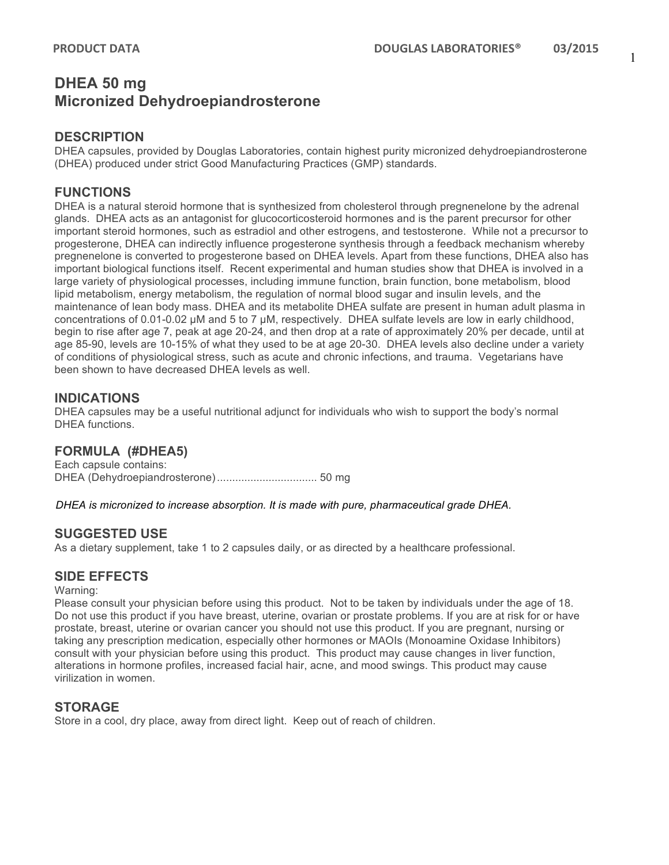# **DHEA 50 mg Micronized Dehydroepiandrosterone**

# **DESCRIPTION**

DHEA capsules, provided by Douglas Laboratories, contain highest purity micronized dehydroepiandrosterone (DHEA) produced under strict Good Manufacturing Practices (GMP) standards.

# **FUNCTIONS**

DHEA is a natural steroid hormone that is synthesized from cholesterol through pregnenelone by the adrenal glands. DHEA acts as an antagonist for glucocorticosteroid hormones and is the parent precursor for other important steroid hormones, such as estradiol and other estrogens, and testosterone. While not a precursor to progesterone, DHEA can indirectly influence progesterone synthesis through a feedback mechanism whereby pregnenelone is converted to progesterone based on DHEA levels. Apart from these functions, DHEA also has important biological functions itself. Recent experimental and human studies show that DHEA is involved in a large variety of physiological processes, including immune function, brain function, bone metabolism, blood lipid metabolism, energy metabolism, the regulation of normal blood sugar and insulin levels, and the maintenance of lean body mass. DHEA and its metabolite DHEA sulfate are present in human adult plasma in concentrations of 0.01-0.02 µM and 5 to 7 µM, respectively. DHEA sulfate levels are low in early childhood, begin to rise after age 7, peak at age 20-24, and then drop at a rate of approximately 20% per decade, until at age 85-90, levels are 10-15% of what they used to be at age 20-30. DHEA levels also decline under a variety of conditions of physiological stress, such as acute and chronic infections, and trauma. Vegetarians have been shown to have decreased DHEA levels as well.

### **INDICATIONS**

DHEA capsules may be a useful nutritional adjunct for individuals who wish to support the body's normal DHEA functions.

# **FORMULA (#DHEA5)**

Each capsule contains: DHEA (Dehydroepiandrosterone)................................. 50 mg

#### *DHEA is micronized to increase absorption. It is made with pure, pharmaceutical grade DHEA.*

# **SUGGESTED USE**

As a dietary supplement, take 1 to 2 capsules daily, or as directed by a healthcare professional.

### **SIDE EFFECTS**

#### Warning:

Please consult your physician before using this product. Not to be taken by individuals under the age of 18. Do not use this product if you have breast, uterine, ovarian or prostate problems. If you are at risk for or have prostate, breast, uterine or ovarian cancer you should not use this product. If you are pregnant, nursing or taking any prescription medication, especially other hormones or MAOIs (Monoamine Oxidase Inhibitors) consult with your physician before using this product. This product may cause changes in liver function, alterations in hormone profiles, increased facial hair, acne, and mood swings. This product may cause virilization in women.

### **STORAGE**

Store in a cool, dry place, away from direct light. Keep out of reach of children.

1